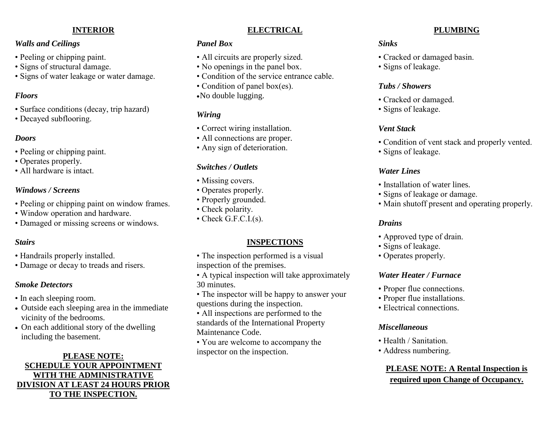#### **INTERIOR**

## *Walls and Ceilings*

- Peeling or chipping paint.
- Signs of structural damage.
- Signs of water leakage or water damage.

## *Floors*

- Surface conditions (decay, trip hazard)
- Decayed subflooring.

# *Doors*

- Peeling or chipping paint.
- Operates properly.
- All hardware is intact.

## *Windows / Screens*

- Peeling or chipping paint on window frames.
- Window operation and hardware.
- Damaged or missing screens or windows.

#### *Stairs*

- Handrails properly installed.
- Damage or decay to treads and risers.

## *Smoke Detectors*

- In each sleeping room.
- Outside each sleeping area in the immediate vicinity of the bedrooms.
- On each additional story of the dwelling including the basement.

#### **PLEASE NOTE: SCHEDULE YOUR APPOINTMENT WITH THE ADMINISTRATIVE DIVISION AT LEAST 24 HOURS PRIOR TO THE INSPECTION.**

# **ELECTRICAL**

# *Panel Box*

- All circuits are properly sized.
- No openings in the panel box.
- Condition of the service entrance cable.
- Condition of panel box(es).
- No double lugging.

# *Wiring*

- Correct wiring installation.
- All connections are proper.
- Any sign of deterioration.

#### *Switches / Outlets*

- Missing covers.
- Operates properly.
- Properly grounded.
- Check polarity.
- Check G.F.C.I.(s).

# **INSPECTIONS**

- The inspection performed is a visual inspection of the premises.
- A typical inspection will take approximately 30 minutes.
- The inspector will be happy to answer your questions during the inspection.
- All inspections are performed to the standards of the International Property Maintenance Code.
- You are welcome to accompany the inspector on the inspection.

#### **PLUMBING**

#### *Sinks*

- Cracked or damaged basin.
- Signs of leakage.

## *Tubs / Showers*

- Cracked or damaged.
- Signs of leakage.

#### *Vent Stack*

- Condition of vent stack and properly vented.
- Signs of leakage.

# *Water Lines*

- Installation of water lines.
- Signs of leakage or damage.
- Main shutoff present and operating properly.

# *Drains*

- Approved type of drain.
- Signs of leakage.
- Operates properly.

## *Water Heater / Furnace*

- Proper flue connections.
- Proper flue installations.
- Electrical connections.

#### *Miscellaneous*

- Health / Sanitation.
- Address numbering.

# **PLEASE NOTE: A Rental Inspection is required upon Change of Occupancy.**